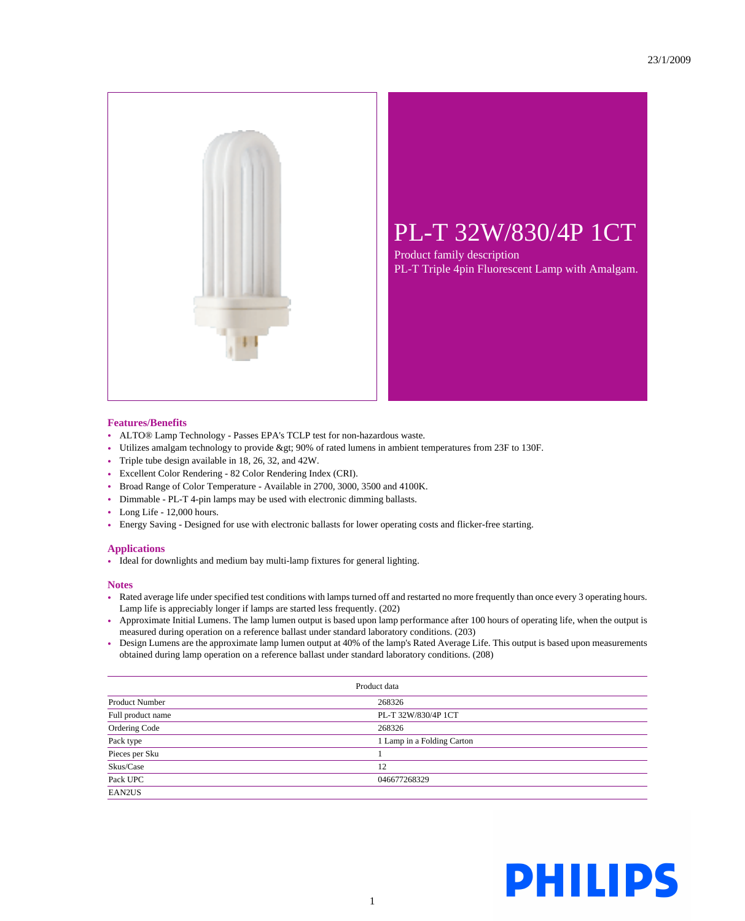

## PL-T 32W/830/4P 1CT

Product family description PL-T Triple 4pin Fluorescent Lamp with Amalgam.

## **Features/Benefits**

- ALTO® Lamp Technology Passes EPA's TCLP test for non-hazardous waste.
- Utilizes amalgam technology to provide > 90% of rated lumens in ambient temperatures from 23F to 130F.
- Triple tube design available in 18, 26, 32, and 42W.
- Excellent Color Rendering 82 Color Rendering Index (CRI).
- Broad Range of Color Temperature Available in 2700, 3000, 3500 and 4100K.
- Dimmable PL-T 4-pin lamps may be used with electronic dimming ballasts.
- Long Life 12,000 hours.
- Energy Saving Designed for use with electronic ballasts for lower operating costs and flicker-free starting.

## **Applications**

• Ideal for downlights and medium bay multi-lamp fixtures for general lighting.

## **Notes**

- Rated average life under specified test conditions with lamps turned off and restarted no more frequently than once every 3 operating hours. Lamp life is appreciably longer if lamps are started less frequently. (202)
- Approximate Initial Lumens. The lamp lumen output is based upon lamp performance after 100 hours of operating life, when the output is measured during operation on a reference ballast under standard laboratory conditions. (203)
- Design Lumens are the approximate lamp lumen output at 40% of the lamp's Rated Average Life. This output is based upon measurements obtained during lamp operation on a reference ballast under standard laboratory conditions. (208)

| Product data          |                            |  |
|-----------------------|----------------------------|--|
| <b>Product Number</b> | 268326                     |  |
| Full product name     | PL-T 32W/830/4P 1CT        |  |
| Ordering Code         | 268326                     |  |
| Pack type             | 1 Lamp in a Folding Carton |  |
| Pieces per Sku        |                            |  |
| Skus/Case             | 12                         |  |
| Pack UPC              | 046677268329               |  |
| EAN2US                |                            |  |

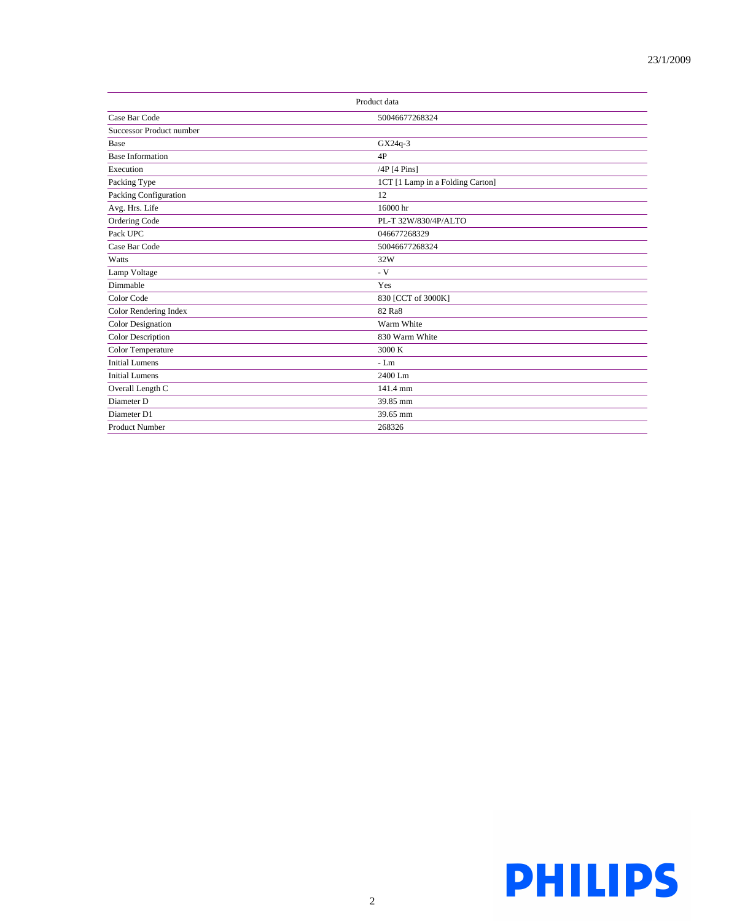| Product data                    |                                  |  |
|---------------------------------|----------------------------------|--|
| Case Bar Code                   | 50046677268324                   |  |
| <b>Successor Product number</b> |                                  |  |
| Base                            | GX24q-3                          |  |
| <b>Base Information</b>         | 4P                               |  |
| Execution                       | /4P [4 Pins]                     |  |
| Packing Type                    | 1CT [1 Lamp in a Folding Carton] |  |
| Packing Configuration           | 12                               |  |
| Avg. Hrs. Life                  | 16000 hr                         |  |
| Ordering Code                   | PL-T 32W/830/4P/ALTO             |  |
| Pack UPC                        | 046677268329                     |  |
| Case Bar Code                   | 50046677268324                   |  |
| Watts                           | 32W                              |  |
| Lamp Voltage                    | $- V$                            |  |
| Dimmable                        | Yes                              |  |
| Color Code                      | 830 [CCT of 3000K]               |  |
| Color Rendering Index           | 82 Ra8                           |  |
| <b>Color Designation</b>        | Warm White                       |  |
| Color Description               | 830 Warm White                   |  |
| Color Temperature               | 3000 K                           |  |
| <b>Initial Lumens</b>           | $-I.m$                           |  |
| <b>Initial Lumens</b>           | 2400 Lm                          |  |
| Overall Length C                | 141.4 mm                         |  |
| Diameter D                      | 39.85 mm                         |  |
| Diameter D1                     | 39.65 mm                         |  |
| <b>Product Number</b>           | 268326                           |  |